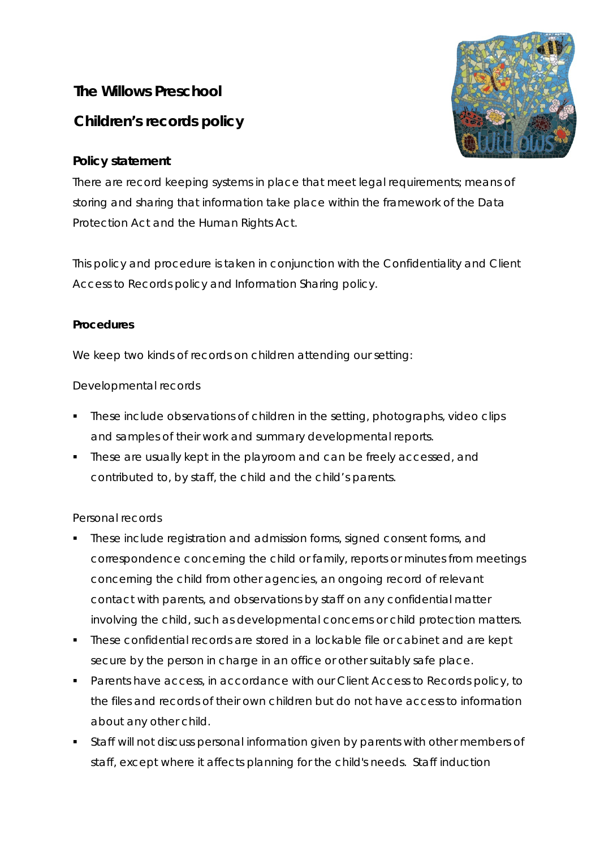# **The Willows Preschool**

# **Children's records policy**

## **Policy statement**

There are record keeping systems in place that meet legal requirements; means of storing and sharing that information take place within the framework of the Data Protection Act and the Human Rights Act.

This policy and procedure is taken in conjunction with the Confidentiality and Client Access to Records policy and Information Sharing policy.

### **Procedures**

We keep two kinds of records on children attending our setting:

## Developmental records

- **These include observations of children in the setting, photographs, video clips** and samples of their work and summary developmental reports.
- These are usually kept in the playroom and can be freely accessed, and contributed to, by staff, the child and the child's parents.

### Personal records

- These include registration and admission forms, signed consent forms, and correspondence concerning the child or family, reports or minutes from meetings concerning the child from other agencies, an ongoing record of relevant contact with parents, and observations by staff on any confidential matter involving the child, such as developmental concerns or child protection matters.
- **These confidential records are stored in a lockable file or cabinet and are kept** secure by the person in charge in an office or other suitably safe place.
- Parents have access, in accordance with our Client Access to Records policy, to the files and records of their own children but do not have access to information about any other child.
- Staff will not discuss personal information given by parents with other members of staff, except where it affects planning for the child's needs. Staff induction